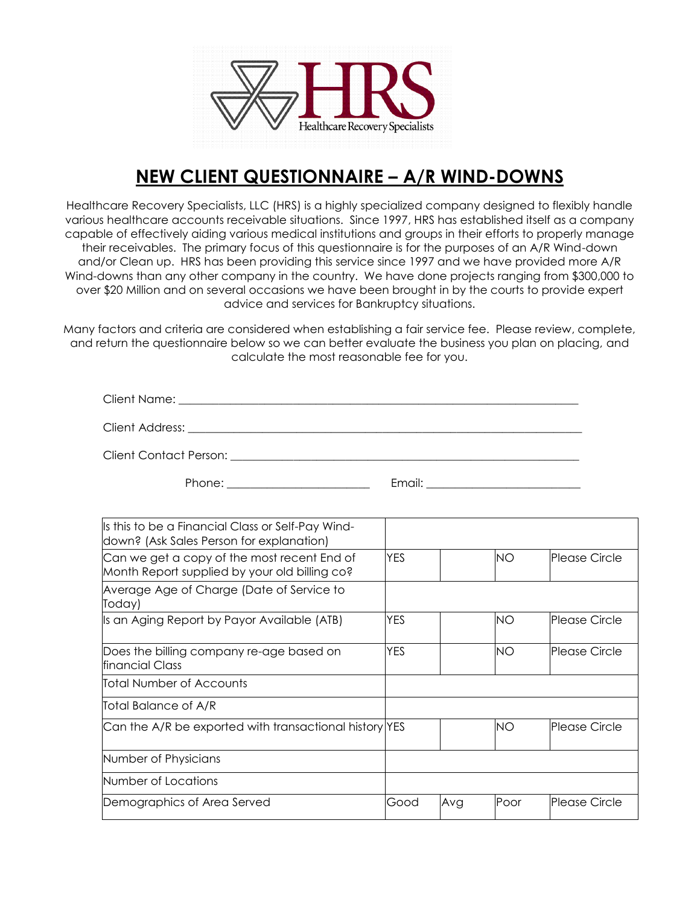

## **NEW CLIENT QUESTIONNAIRE – A/R WIND-DOWNS**

Healthcare Recovery Specialists, LLC (HRS) is a highly specialized company designed to flexibly handle various healthcare accounts receivable situations. Since 1997, HRS has established itself as a company capable of effectively aiding various medical institutions and groups in their efforts to properly manage their receivables. The primary focus of this questionnaire is for the purposes of an A/R Wind-down and/or Clean up. HRS has been providing this service since 1997 and we have provided more A/R Wind-downs than any other company in the country. We have done projects ranging from \$300,000 to over \$20 Million and on several occasions we have been brought in by the courts to provide expert advice and services for Bankruptcy situations.

Many factors and criteria are considered when establishing a fair service fee. Please review, complete, and return the questionnaire below so we can better evaluate the business you plan on placing, and calculate the most reasonable fee for you.

| Client Name:    |  |  |  |
|-----------------|--|--|--|
| Client Address: |  |  |  |

Client Contact Person: \_\_\_\_\_\_\_\_\_\_\_\_\_\_\_\_\_\_\_\_\_\_\_\_\_\_\_\_\_\_\_\_\_\_\_\_\_\_\_\_\_\_\_\_\_\_\_\_\_\_\_\_\_\_\_\_\_\_\_\_\_

Phone: \_\_\_\_\_\_\_\_\_\_\_\_\_\_\_\_\_\_\_\_\_\_\_\_\_ Email: \_\_\_\_\_\_\_\_\_\_\_\_\_\_\_\_\_\_\_\_\_\_\_\_\_\_\_

| Is this to be a Financial Class or Self-Pay Wind-<br>down? (Ask Sales Person for explanation) |            |     |           |                      |
|-----------------------------------------------------------------------------------------------|------------|-----|-----------|----------------------|
| Can we get a copy of the most recent End of<br>Month Report supplied by your old billing co?  | <b>YES</b> |     | <b>NO</b> | <b>Please Circle</b> |
| Average Age of Charge (Date of Service to<br>Today)                                           |            |     |           |                      |
| Is an Aging Report by Payor Available (ATB)                                                   | <b>YES</b> |     | <b>NO</b> | Please Circle        |
| Does the billing company re-age based on<br>financial Class                                   | <b>YES</b> |     | <b>NO</b> | Please Circle        |
| Total Number of Accounts                                                                      |            |     |           |                      |
| Total Balance of A/R                                                                          |            |     |           |                      |
| Can the A/R be exported with transactional history YES                                        |            |     | <b>NO</b> | <b>Please Circle</b> |
| Number of Physicians                                                                          |            |     |           |                      |
| Number of Locations                                                                           |            |     |           |                      |
| Demographics of Area Served                                                                   | Good       | Avg | Poor      | Please Circle        |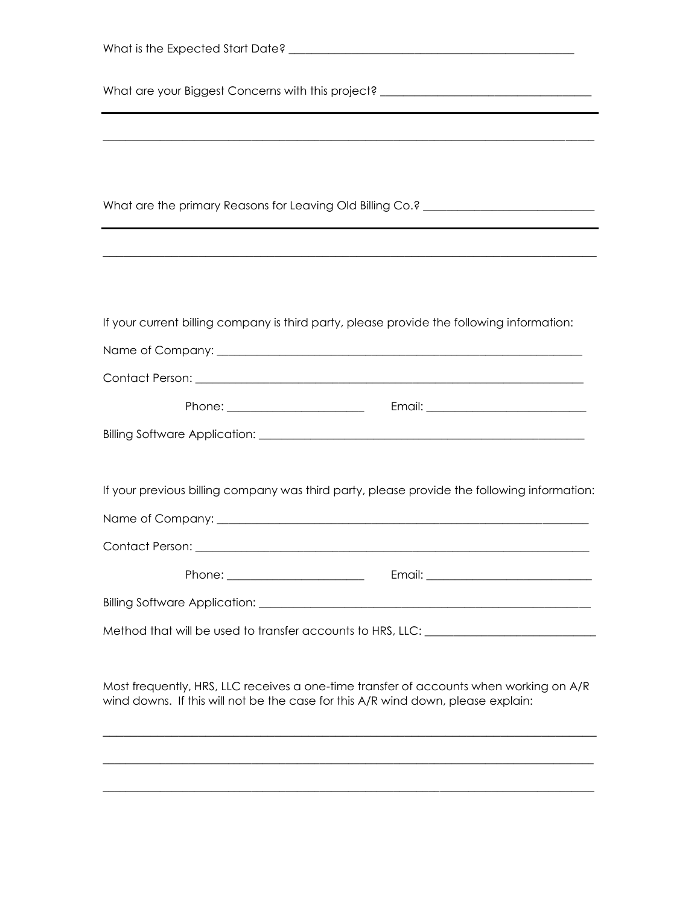| What are your Biggest Concerns with this project? ______________________________                                |  |  |  |  |
|-----------------------------------------------------------------------------------------------------------------|--|--|--|--|
|                                                                                                                 |  |  |  |  |
|                                                                                                                 |  |  |  |  |
|                                                                                                                 |  |  |  |  |
| What are the primary Reasons for Leaving Old Billing Co.? _______________________                               |  |  |  |  |
|                                                                                                                 |  |  |  |  |
|                                                                                                                 |  |  |  |  |
|                                                                                                                 |  |  |  |  |
| If your current billing company is third party, please provide the following information:                       |  |  |  |  |
|                                                                                                                 |  |  |  |  |
|                                                                                                                 |  |  |  |  |
|                                                                                                                 |  |  |  |  |
|                                                                                                                 |  |  |  |  |
|                                                                                                                 |  |  |  |  |
| If your previous billing company was third party, please provide the following information:                     |  |  |  |  |
|                                                                                                                 |  |  |  |  |
| Contact Person:                                                                                                 |  |  |  |  |
|                                                                                                                 |  |  |  |  |
|                                                                                                                 |  |  |  |  |
| Method that will be used to transfer accounts to HRS, LLC: \\cdot \\cdot \\cdot \\cdot \\cdot \\cdot \\cdot \\c |  |  |  |  |
|                                                                                                                 |  |  |  |  |
| Most frequently, HRS, LLC receives a one-time transfer of accounts when working on A/R                          |  |  |  |  |
| wind downs. If this will not be the case for this A/R wind down, please explain:                                |  |  |  |  |

\_\_\_\_\_\_\_\_\_\_\_\_\_\_\_\_\_\_\_\_\_\_\_\_\_\_\_\_\_\_\_\_\_\_\_\_\_\_\_\_\_\_\_\_\_\_\_\_\_\_\_\_\_\_\_\_\_\_\_\_\_\_\_\_\_\_\_\_\_\_\_\_\_\_\_\_\_\_\_\_\_\_\_\_\_\_

\_\_\_\_\_\_\_\_\_\_\_\_\_\_\_\_\_\_\_\_\_\_\_\_\_\_\_\_\_\_\_\_\_\_\_\_\_\_\_\_\_\_\_\_\_\_\_\_\_\_\_\_\_\_\_\_\_\_\_\_\_\_\_\_\_\_\_\_\_\_\_\_\_\_\_\_\_\_\_\_\_\_\_\_\_\_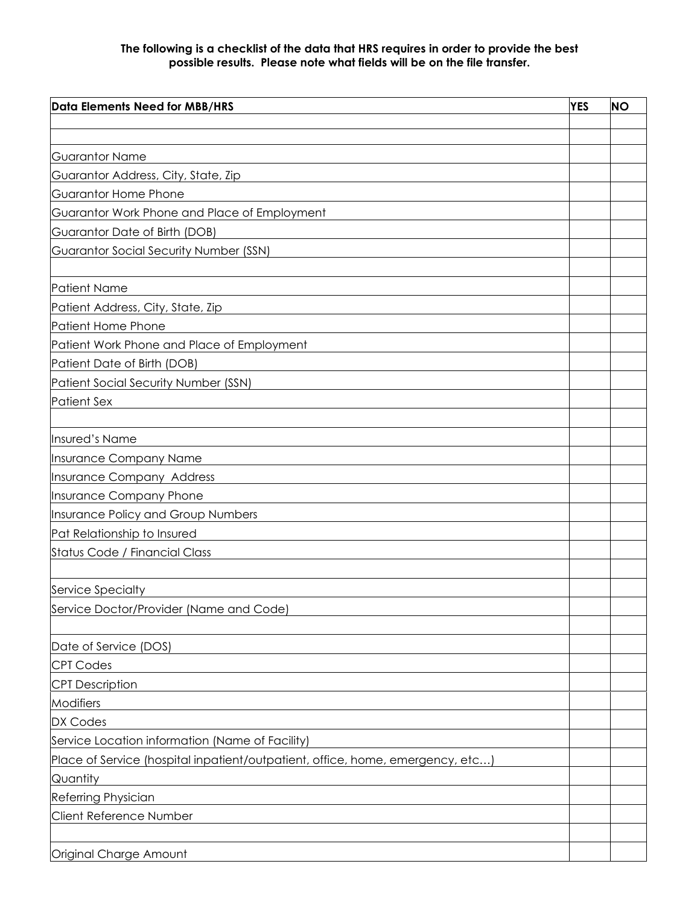## **The following is a checklist of the data that HRS requires in order to provide the best possible results. Please note what fields will be on the file transfer.**

| <b>YES</b><br>Data Elements Need for MBB/HRS                                   |  |  |
|--------------------------------------------------------------------------------|--|--|
|                                                                                |  |  |
|                                                                                |  |  |
| <b>Guarantor Name</b>                                                          |  |  |
| Guarantor Address, City, State, Zip                                            |  |  |
| Guarantor Home Phone                                                           |  |  |
| Guarantor Work Phone and Place of Employment                                   |  |  |
| Guarantor Date of Birth (DOB)                                                  |  |  |
| Guarantor Social Security Number (SSN)                                         |  |  |
|                                                                                |  |  |
| <b>Patient Name</b>                                                            |  |  |
| Patient Address, City, State, Zip                                              |  |  |
| Patient Home Phone                                                             |  |  |
| Patient Work Phone and Place of Employment                                     |  |  |
| Patient Date of Birth (DOB)                                                    |  |  |
| Patient Social Security Number (SSN)                                           |  |  |
| <b>Patient Sex</b>                                                             |  |  |
|                                                                                |  |  |
| Insured's Name                                                                 |  |  |
| Insurance Company Name                                                         |  |  |
| Insurance Company Address                                                      |  |  |
| Insurance Company Phone                                                        |  |  |
| Insurance Policy and Group Numbers                                             |  |  |
| Pat Relationship to Insured                                                    |  |  |
| Status Code / Financial Class                                                  |  |  |
|                                                                                |  |  |
| Service Specialty                                                              |  |  |
| Service Doctor/Provider (Name and Code)                                        |  |  |
|                                                                                |  |  |
| Date of Service (DOS)                                                          |  |  |
| <b>CPT Codes</b>                                                               |  |  |
| <b>CPT Description</b>                                                         |  |  |
| Modifiers                                                                      |  |  |
| <b>DX Codes</b>                                                                |  |  |
| Service Location information (Name of Facility)                                |  |  |
| Place of Service (hospital inpatient/outpatient, office, home, emergency, etc) |  |  |
| Quantity                                                                       |  |  |
| <b>Referring Physician</b>                                                     |  |  |
| <b>Client Reference Number</b>                                                 |  |  |
|                                                                                |  |  |
| Original Charge Amount                                                         |  |  |